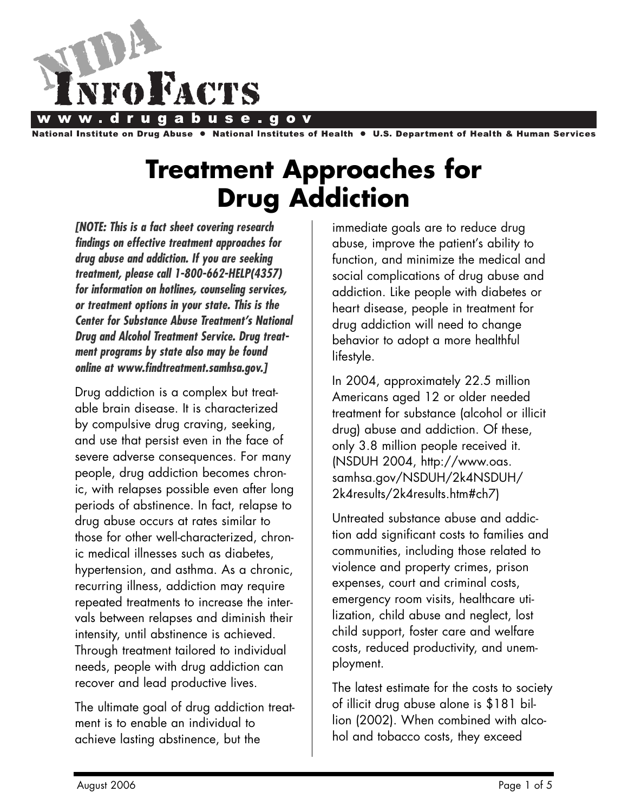

**Institute on Drug Abuse** National Institutes of Health . **U.S. Department of Health & Human Services** 

# **Treatment Approaches for Drug Addiction**

*[NOTE: This is a fact sheet covering research findings on effective treatment approaches for drug abuse and addiction. If you are seeking treatment, please call 1-800-662-HELP(4357) for information on hotlines, counseling services, or treatment options in your state. This is the Center for Substance Abuse Treatment's National Drug and Alcohol Treatment Service. Drug treatment programs by state also may be found online at www.findtreatment.samhsa.gov.]*

Drug addiction is a complex but treatable brain disease. It is characterized by compulsive drug craving, seeking, and use that persist even in the face of severe adverse consequences. For many people, drug addiction becomes chronic, with relapses possible even after long periods of abstinence. In fact, relapse to drug abuse occurs at rates similar to those for other well-characterized, chronic medical illnesses such as diabetes, hypertension, and asthma. As a chronic, recurring illness, addiction may require repeated treatments to increase the intervals between relapses and diminish their intensity, until abstinence is achieved. Through treatment tailored to individual needs, people with drug addiction can recover and lead productive lives.

The ultimate goal of drug addiction treatment is to enable an individual to achieve lasting abstinence, but the

immediate goals are to reduce drug abuse, improve the patient's ability to function, and minimize the medical and social complications of drug abuse and addiction. Like people with diabetes or heart disease, people in treatment for drug addiction will need to change behavior to adopt a more healthful lifestyle.

In 2004, approximately 22.5 million Americans aged 12 or older needed treatment for substance (alcohol or illicit drug) abuse and addiction. Of these, only 3.8 million people received it. (NSDUH 2004, http://www.oas. samhsa.gov/NSDUH/2k4NSDUH/ 2k4results/2k4results.htm#ch7)

Untreated substance abuse and addiction add significant costs to families and communities, including those related to violence and property crimes, prison expenses, court and criminal costs, emergency room visits, healthcare utilization, child abuse and neglect, lost child support, foster care and welfare costs, reduced productivity, and unemployment.

The latest estimate for the costs to society of illicit drug abuse alone is \$181 billion (2002). When combined with alcohol and tobacco costs, they exceed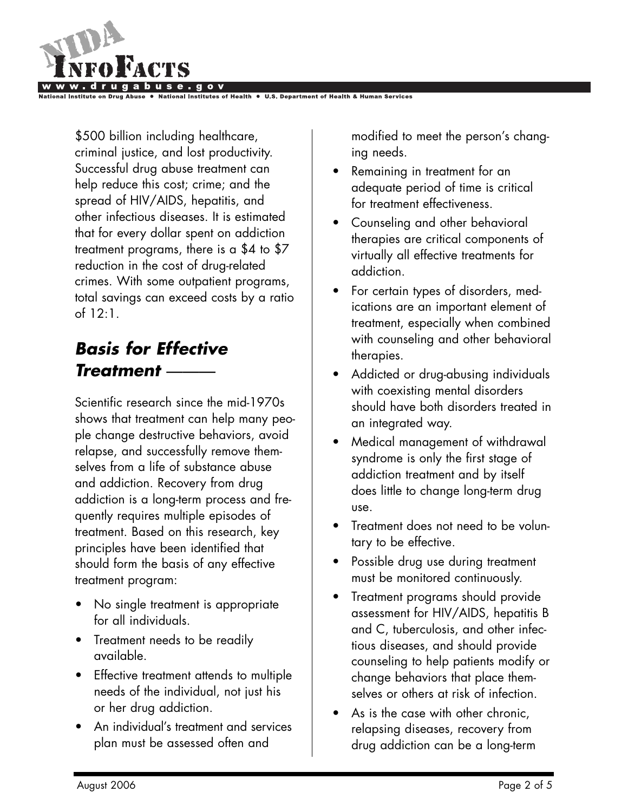

\$500 billion including healthcare, criminal justice, and lost productivity. Successful drug abuse treatment can help reduce this cost; crime; and the spread of HIV/AIDS, hepatitis, and other infectious diseases. It is estimated that for every dollar spent on addiction treatment programs, there is a \$4 to \$7 reduction in the cost of drug-related crimes. With some outpatient programs, total savings can exceed costs by a ratio of 12:1.

### *Basis for Effective Treatment* ———

Scientific research since the mid-1970s shows that treatment can help many people change destructive behaviors, avoid relapse, and successfully remove themselves from a life of substance abuse and addiction. Recovery from drug addiction is a long-term process and frequently requires multiple episodes of treatment. Based on this research, key principles have been identified that should form the basis of any effective treatment program:

- No single treatment is appropriate for all individuals.
- Treatment needs to be readily available.
- Effective treatment attends to multiple needs of the individual, not just his or her drug addiction.
- An individual's treatment and services plan must be assessed often and

modified to meet the person's changing needs.

- Remaining in treatment for an adequate period of time is critical for treatment effectiveness.
- Counseling and other behavioral therapies are critical components of virtually all effective treatments for addiction.
- For certain types of disorders, medications are an important element of treatment, especially when combined with counseling and other behavioral therapies.
- Addicted or drug-abusing individuals with coexisting mental disorders should have both disorders treated in an integrated way.
- Medical management of withdrawal syndrome is only the first stage of addiction treatment and by itself does little to change long-term drug use.
- Treatment does not need to be voluntary to be effective.
- Possible drug use during treatment must be monitored continuously.
- Treatment programs should provide assessment for HIV/AIDS, hepatitis B and C, tuberculosis, and other infectious diseases, and should provide counseling to help patients modify or change behaviors that place themselves or others at risk of infection.
- As is the case with other chronic, relapsing diseases, recovery from drug addiction can be a long-term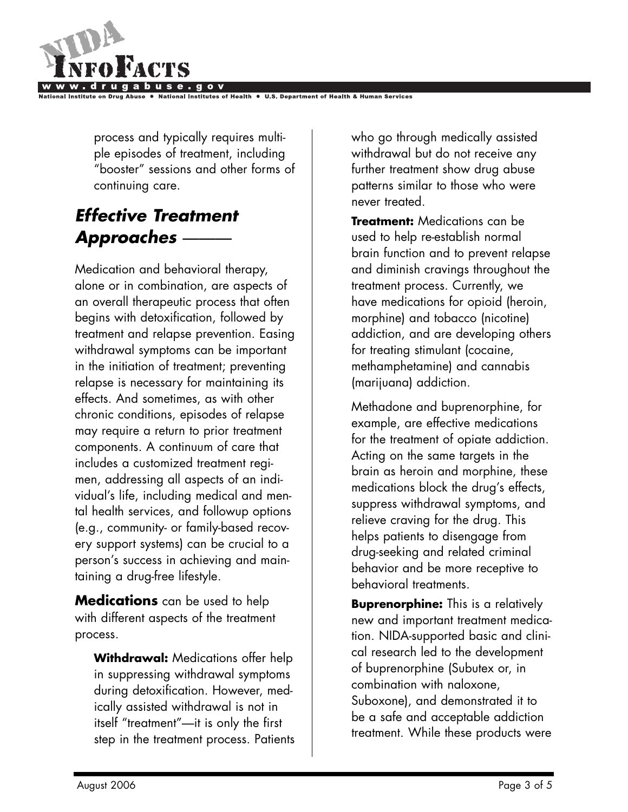

process and typically requires multiple episodes of treatment, including "booster" sessions and other forms of continuing care.

## *Effective Treatment Approaches* ———

Medication and behavioral therapy, alone or in combination, are aspects of an overall therapeutic process that often begins with detoxification, followed by treatment and relapse prevention. Easing withdrawal symptoms can be important in the initiation of treatment; preventing relapse is necessary for maintaining its effects. And sometimes, as with other chronic conditions, episodes of relapse may require a return to prior treatment components. A continuum of care that includes a customized treatment regimen, addressing all aspects of an individual's life, including medical and mental health services, and followup options (e.g., community- or family-based recovery support systems) can be crucial to a person's success in achieving and maintaining a drug-free lifestyle.

**Medications** can be used to help with different aspects of the treatment process.

**Withdrawal:** Medications offer help in suppressing withdrawal symptoms during detoxification. However, medically assisted withdrawal is not in itself "treatment"—it is only the first step in the treatment process. Patients who go through medically assisted withdrawal but do not receive any further treatment show drug abuse patterns similar to those who were never treated.

**Treatment:** Medications can be used to help re-establish normal brain function and to prevent relapse and diminish cravings throughout the treatment process. Currently, we have medications for opioid (heroin, morphine) and tobacco (nicotine) addiction, and are developing others for treating stimulant (cocaine, methamphetamine) and cannabis (marijuana) addiction.

Methadone and buprenorphine, for example, are effective medications for the treatment of opiate addiction. Acting on the same targets in the brain as heroin and morphine, these medications block the drug's effects, suppress withdrawal symptoms, and relieve craving for the drug. This helps patients to disengage from drug-seeking and related criminal behavior and be more receptive to behavioral treatments.

**Buprenorphine:** This is a relatively new and important treatment medication. NIDA-supported basic and clinical research led to the development of buprenorphine (Subutex or, in combination with naloxone, Suboxone), and demonstrated it to be a safe and acceptable addiction treatment. While these products were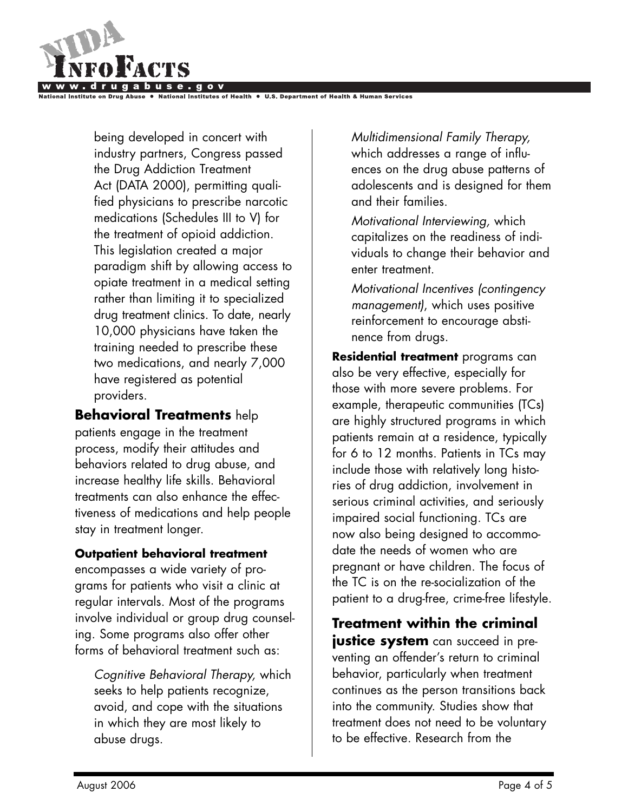

al Institutes of Health

being developed in concert with industry partners, Congress passed the Drug Addiction Treatment Act (DATA 2000), permitting qualified physicians to prescribe narcotic medications (Schedules III to V) for the treatment of opioid addiction. This legislation created a major paradigm shift by allowing access to opiate treatment in a medical setting rather than limiting it to specialized drug treatment clinics. To date, nearly 10,000 physicians have taken the training needed to prescribe these two medications, and nearly 7,000 have registered as potential providers.

**Behavioral Treatments** help patients engage in the treatment process, modify their attitudes and behaviors related to drug abuse, and increase healthy life skills. Behavioral treatments can also enhance the effectiveness of medications and help people stay in treatment longer.

### **Outpatient behavioral treatment**

encompasses a wide variety of programs for patients who visit a clinic at regular intervals. Most of the programs involve individual or group drug counseling. Some programs also offer other forms of behavioral treatment such as:

*Cognitive Behavioral Therapy,* which seeks to help patients recognize, avoid, and cope with the situations in which they are most likely to abuse drugs.

*Multidimensional Family Therapy,* which addresses a range of influences on the drug abuse patterns of adolescents and is designed for them and their families.

*Motivational Interviewing,* which capitalizes on the readiness of individuals to change their behavior and enter treatment.

*Motivational Incentives (contingency management)*, which uses positive reinforcement to encourage abstinence from drugs.

**Residential treatment** programs can also be very effective, especially for those with more severe problems. For example, therapeutic communities (TCs) are highly structured programs in which patients remain at a residence, typically for 6 to 12 months. Patients in TCs may include those with relatively long histories of drug addiction, involvement in serious criminal activities, and seriously impaired social functioning. TCs are now also being designed to accommodate the needs of women who are pregnant or have children. The focus of the TC is on the re-socialization of the patient to a drug-free, crime-free lifestyle.

**Treatment within the criminal justice system** can succeed in preventing an offender's return to criminal behavior, particularly when treatment continues as the person transitions back into the community. Studies show that treatment does not need to be voluntary to be effective. Research from the